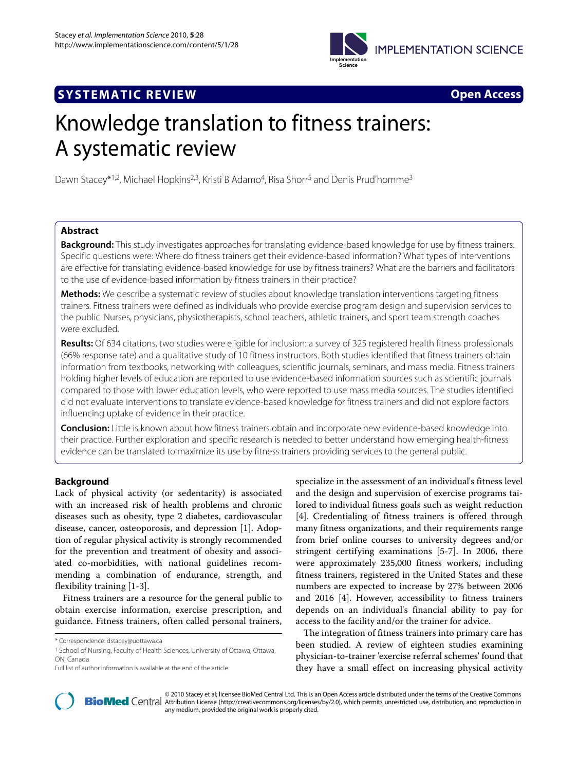

## **SYSTEMATIC REVIEW Open Access**



# Knowledge translation to fitness trainers: A systematic review

Dawn Stacey<sup>\*1,2</sup>, Michael Hopkins<sup>2,3</sup>, Kristi B Adamo<sup>4</sup>, Risa Shorr<sup>5</sup> and Denis Prud'homme<sup>3</sup>

## **Abstract**

**Background:** This study investigates approaches for translating evidence-based knowledge for use by fitness trainers. Specific questions were: Where do fitness trainers get their evidence-based information? What types of interventions are effective for translating evidence-based knowledge for use by fitness trainers? What are the barriers and facilitators to the use of evidence-based information by fitness trainers in their practice?

**Methods:** We describe a systematic review of studies about knowledge translation interventions targeting fitness trainers. Fitness trainers were defined as individuals who provide exercise program design and supervision services to the public. Nurses, physicians, physiotherapists, school teachers, athletic trainers, and sport team strength coaches were excluded.

**Results:** Of 634 citations, two studies were eligible for inclusion: a survey of 325 registered health fitness professionals (66% response rate) and a qualitative study of 10 fitness instructors. Both studies identified that fitness trainers obtain information from textbooks, networking with colleagues, scientific journals, seminars, and mass media. Fitness trainers holding higher levels of education are reported to use evidence-based information sources such as scientific journals compared to those with lower education levels, who were reported to use mass media sources. The studies identified did not evaluate interventions to translate evidence-based knowledge for fitness trainers and did not explore factors influencing uptake of evidence in their practice.

**Conclusion:** Little is known about how fitness trainers obtain and incorporate new evidence-based knowledge into their practice. Further exploration and specific research is needed to better understand how emerging health-fitness evidence can be translated to maximize its use by fitness trainers providing services to the general public.

## **Background**

Lack of physical activity (or sedentarity) is associated with an increased risk of health problems and chronic diseases such as obesity, type 2 diabetes, cardiovascular disease, cancer, osteoporosis, and depression [[1\]](#page-8-0). Adoption of regular physical activity is strongly recommended for the prevention and treatment of obesity and associated co-morbidities, with national guidelines recommending a combination of endurance, strength, and flexibility training [\[1-](#page-8-0)[3](#page-8-1)].

Fitness trainers are a resource for the general public to obtain exercise information, exercise prescription, and guidance. Fitness trainers, often called personal trainers,

specialize in the assessment of an individual's fitness level and the design and supervision of exercise programs tailored to individual fitness goals such as weight reduction [[4\]](#page-8-2). Credentialing of fitness trainers is offered through many fitness organizations, and their requirements range from brief online courses to university degrees and/or stringent certifying examinations [\[5](#page-8-3)-[7\]](#page-8-4). In 2006, there were approximately 235,000 fitness workers, including fitness trainers, registered in the United States and these numbers are expected to increase by 27% between 2006 and 2016 [[4\]](#page-8-2). However, accessibility to fitness trainers depends on an individual's financial ability to pay for access to the facility and/or the trainer for advice.

The integration of fitness trainers into primary care has been studied. A review of eighteen studies examining physician-to-trainer 'exercise referral schemes' found that they have a small effect on increasing physical activity



2010 Stacey et al; licensee [BioMed](http://www.biomedcentral.com/) Central Ltd. This is an Open Access article distributed under the terms of the Creative Commons (http://creativecommons.org/licenses/by/2.0), which permits unrestricted use, distribution, any medium, provided the original work is properly cited.

<sup>\*</sup> Correspondence: dstacey@uottawa.ca

<sup>1</sup> School of Nursing, Faculty of Health Sciences, University of Ottawa, Ottawa, ON, Canada

Full list of author information is available at the end of the article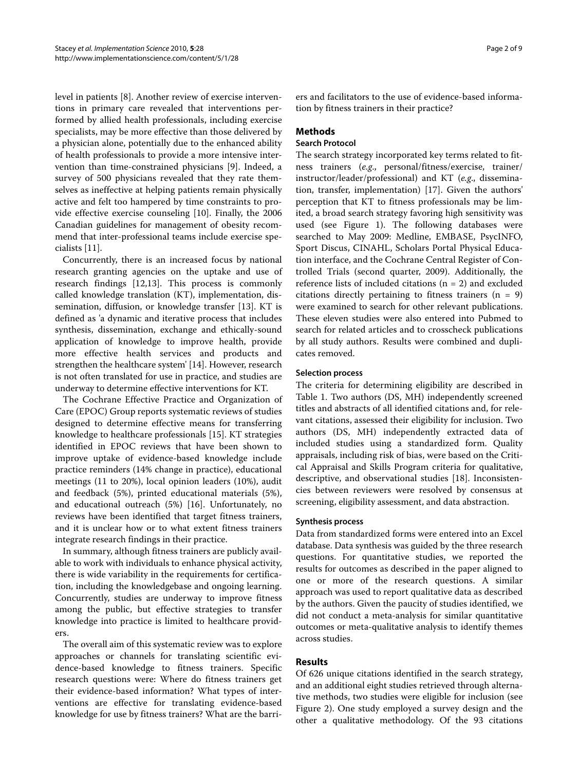level in patients [\[8](#page-8-5)]. Another review of exercise interventions in primary care revealed that interventions performed by allied health professionals, including exercise specialists, may be more effective than those delivered by a physician alone, potentially due to the enhanced ability of health professionals to provide a more intensive intervention than time-constrained physicians [\[9](#page-8-6)]. Indeed, a survey of 500 physicians revealed that they rate themselves as ineffective at helping patients remain physically active and felt too hampered by time constraints to provide effective exercise counseling [[10](#page-8-7)]. Finally, the 2006 Canadian guidelines for management of obesity recommend that inter-professional teams include exercise specialists [[11\]](#page-8-8).

Concurrently, there is an increased focus by national research granting agencies on the uptake and use of research findings [[12,](#page-8-9)[13\]](#page-8-10). This process is commonly called knowledge translation (KT), implementation, dissemination, diffusion, or knowledge transfer [[13](#page-8-10)]. KT is defined as 'a dynamic and iterative process that includes synthesis, dissemination, exchange and ethically-sound application of knowledge to improve health, provide more effective health services and products and strengthen the healthcare system' [[14\]](#page-8-11). However, research is not often translated for use in practice, and studies are underway to determine effective interventions for KT.

The Cochrane Effective Practice and Organization of Care (EPOC) Group reports systematic reviews of studies designed to determine effective means for transferring knowledge to healthcare professionals [\[15](#page-8-12)]. KT strategies identified in EPOC reviews that have been shown to improve uptake of evidence-based knowledge include practice reminders (14% change in practice), educational meetings (11 to 20%), local opinion leaders (10%), audit and feedback (5%), printed educational materials (5%), and educational outreach (5%) [\[16\]](#page-8-13). Unfortunately, no reviews have been identified that target fitness trainers, and it is unclear how or to what extent fitness trainers integrate research findings in their practice.

In summary, although fitness trainers are publicly available to work with individuals to enhance physical activity, there is wide variability in the requirements for certification, including the knowledgebase and ongoing learning. Concurrently, studies are underway to improve fitness among the public, but effective strategies to transfer knowledge into practice is limited to healthcare providers

The overall aim of this systematic review was to explore approaches or channels for translating scientific evidence-based knowledge to fitness trainers. Specific research questions were: Where do fitness trainers get their evidence-based information? What types of interventions are effective for translating evidence-based knowledge for use by fitness trainers? What are the barriers and facilitators to the use of evidence-based information by fitness trainers in their practice?

## **Methods**

## **Search Protocol**

The search strategy incorporated key terms related to fitness trainers (*e.g*., personal/fitness/exercise, trainer/ instructor/leader/professional) and KT (*e.g*., dissemination, transfer, implementation) [[17\]](#page-8-14). Given the authors' perception that KT to fitness professionals may be limited, a broad search strategy favoring high sensitivity was used (see Figure [1\)](#page-2-0). The following databases were searched to May 2009: Medline, EMBASE, PsycINFO, Sport Discus, CINAHL, Scholars Portal Physical Education interface, and the Cochrane Central Register of Controlled Trials (second quarter, 2009). Additionally, the reference lists of included citations ( $n = 2$ ) and excluded citations directly pertaining to fitness trainers  $(n = 9)$ were examined to search for other relevant publications. These eleven studies were also entered into Pubmed to search for related articles and to crosscheck publications by all study authors. Results were combined and duplicates removed.

## **Selection process**

The criteria for determining eligibility are described in Table 1. Two authors (DS, MH) independently screened titles and abstracts of all identified citations and, for relevant citations, assessed their eligibility for inclusion. Two authors (DS, MH) independently extracted data of included studies using a standardized form. Quality appraisals, including risk of bias, were based on the Critical Appraisal and Skills Program criteria for qualitative, descriptive, and observational studies [[18\]](#page-8-15). Inconsistencies between reviewers were resolved by consensus at screening, eligibility assessment, and data abstraction.

### **Synthesis process**

Data from standardized forms were entered into an Excel database. Data synthesis was guided by the three research questions. For quantitative studies, we reported the results for outcomes as described in the paper aligned to one or more of the research questions. A similar approach was used to report qualitative data as described by the authors. Given the paucity of studies identified, we did not conduct a meta-analysis for similar quantitative outcomes or meta-qualitative analysis to identify themes across studies.

## **Results**

Of 626 unique citations identified in the search strategy, and an additional eight studies retrieved through alternative methods, two studies were eligible for inclusion (see Figure [2](#page-3-0)). One study employed a survey design and the other a qualitative methodology. Of the 93 citations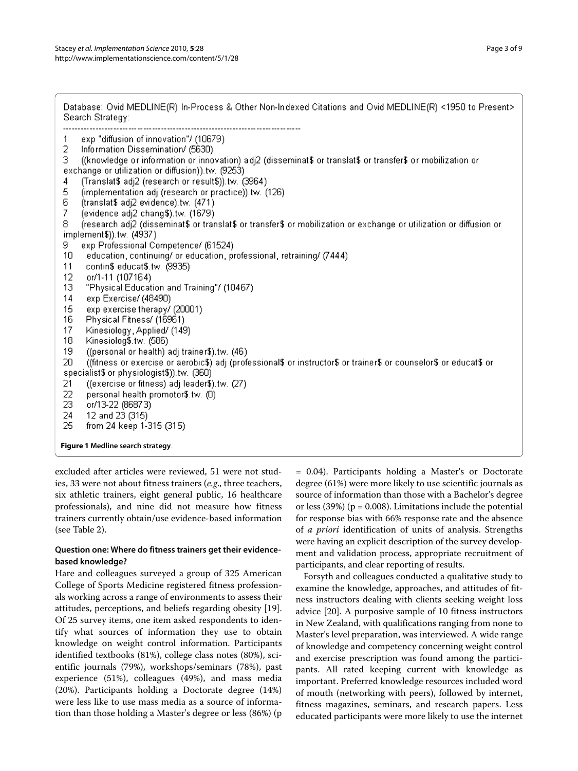<span id="page-2-0"></span>

| Database: Ovid MEDLINE(R) In-Process & Other Non-Indexed Citations and Ovid MEDLINE(R) <1950 to Present><br>Search Strategy:                                                                                                                                                                                                                                                                                                                                                                                                                                                                                                                                                                                                                                                                                                                                                                                                                                                                                                                                                                                                                                                                                                                                                                                                                                                                                                                                                                                 |
|--------------------------------------------------------------------------------------------------------------------------------------------------------------------------------------------------------------------------------------------------------------------------------------------------------------------------------------------------------------------------------------------------------------------------------------------------------------------------------------------------------------------------------------------------------------------------------------------------------------------------------------------------------------------------------------------------------------------------------------------------------------------------------------------------------------------------------------------------------------------------------------------------------------------------------------------------------------------------------------------------------------------------------------------------------------------------------------------------------------------------------------------------------------------------------------------------------------------------------------------------------------------------------------------------------------------------------------------------------------------------------------------------------------------------------------------------------------------------------------------------------------|
| exp "diffusion of innovation"/ (10679)<br>$\mathbf{1}$<br>2<br>Information Dissemination/ (5630)<br>((knowledge or information or innovation) adj2 (disseminat\$ or translat\$ or transfer\$ or mobilization or<br>3.<br>exchange or utilization or diffusion)) tw. (9253)<br>(Translat\$ adj2 (research or result\$)).tw. (3964)<br>4<br>5<br>(implementation adj (research or practice)).tw. (126)<br>6<br>(translat\$ adj2 evidence).tw. (471)<br>7<br>(evidence adj2 chang\$).tw. (1679)<br>(research adj2 (disseminat\$ or translat\$ or transfer\$ or mobilization or exchange or utilization or diffusion or<br>8<br>implement\$)).tw. (4937)<br>exp Professional Competence/ (61524)<br>9.<br>education, continuing/ or education, professional, retraining/ (7444)<br>10<br>11<br>contin\$ educat\$.tw. (9935)<br>12<br>or/1-11 (107164)<br>13<br>"Physical Education and Training"/ (10467)<br>14<br>exp Exercise/ (48490)<br>15<br>exp exercise therapy/ (20001)<br>16<br>Physical Fitness/ (16961)<br>17<br>Kinesiology, Applied/ (149)<br>18<br>Kinesiolog\$.tw. (586)<br>19<br>((personal or health) adj trainer\$).tw. (46)<br>((fitness or exercise or aerobic\$) adj (professional\$ or instructor\$ or trainer\$ or counselor\$ or educat\$ or<br>20<br>specialist\$ or physiologist\$)).tw. (360)<br>21<br>((exercise or fitness) adj leader\$).tw. (27)<br>22<br>personal health promotor\$.tw. (0)<br>23<br>or/13-22 (86873)<br>12 and 23 (315)<br>24<br>25<br>from 24 keep 1-315 (315) |
| Figure 1 Medline search strategy.                                                                                                                                                                                                                                                                                                                                                                                                                                                                                                                                                                                                                                                                                                                                                                                                                                                                                                                                                                                                                                                                                                                                                                                                                                                                                                                                                                                                                                                                            |

excluded after articles were reviewed, 51 were not studies, 33 were not about fitness trainers (*e.g*., three teachers, six athletic trainers, eight general public, 16 healthcare professionals), and nine did not measure how fitness trainers currently obtain/use evidence-based information (see Table 2).

## **Question one: Where do fitness trainers get their evidencebased knowledge?**

Hare and colleagues surveyed a group of 325 American College of Sports Medicine registered fitness professionals working across a range of environments to assess their attitudes, perceptions, and beliefs regarding obesity [\[19](#page-8-16)]. Of 25 survey items, one item asked respondents to identify what sources of information they use to obtain knowledge on weight control information. Participants identified textbooks (81%), college class notes (80%), scientific journals (79%), workshops/seminars (78%), past experience (51%), colleagues (49%), and mass media (20%). Participants holding a Doctorate degree (14%) were less like to use mass media as a source of information than those holding a Master's degree or less (86%) (p

= 0.04). Participants holding a Master's or Doctorate degree (61%) were more likely to use scientific journals as source of information than those with a Bachelor's degree or less (39%) ( $p = 0.008$ ). Limitations include the potential for response bias with 66% response rate and the absence of *a priori* identification of units of analysis. Strengths were having an explicit description of the survey development and validation process, appropriate recruitment of participants, and clear reporting of results.

Forsyth and colleagues conducted a qualitative study to examine the knowledge, approaches, and attitudes of fitness instructors dealing with clients seeking weight loss advice [[20\]](#page-8-17). A purposive sample of 10 fitness instructors in New Zealand, with qualifications ranging from none to Master's level preparation, was interviewed. A wide range of knowledge and competency concerning weight control and exercise prescription was found among the participants. All rated keeping current with knowledge as important. Preferred knowledge resources included word of mouth (networking with peers), followed by internet, fitness magazines, seminars, and research papers. Less educated participants were more likely to use the internet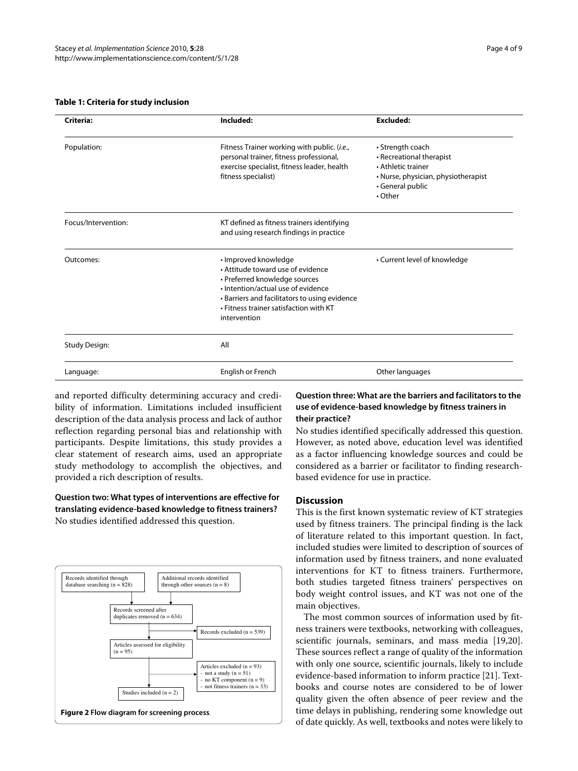#### **Table 1: Criteria for study inclusion**

| Criteria:            | Included:                                                                                                                                                                                                                                   | <b>Excluded:</b>                                                                                                                               |
|----------------------|---------------------------------------------------------------------------------------------------------------------------------------------------------------------------------------------------------------------------------------------|------------------------------------------------------------------------------------------------------------------------------------------------|
| Population:          | Fitness Trainer working with public. (i.e.,<br>personal trainer, fitness professional,<br>exercise specialist, fitness leader, health<br>fitness specialist)                                                                                | • Strength coach<br>• Recreational therapist<br>• Athletic trainer<br>• Nurse, physician, physiotherapist<br>• General public<br>$\cdot$ Other |
| Focus/Intervention:  | KT defined as fitness trainers identifying<br>and using research findings in practice                                                                                                                                                       |                                                                                                                                                |
| Outcomes:            | · Improved knowledge<br>• Attitude toward use of evidence<br>• Preferred knowledge sources<br>. Intention/actual use of evidence<br>• Barriers and facilitators to using evidence<br>• Fitness trainer satisfaction with KT<br>intervention | • Current level of knowledge                                                                                                                   |
| <b>Study Design:</b> | All                                                                                                                                                                                                                                         |                                                                                                                                                |
| Language:            | English or French                                                                                                                                                                                                                           | Other languages                                                                                                                                |

and reported difficulty determining accuracy and credibility of information. Limitations included insufficient description of the data analysis process and lack of author reflection regarding personal bias and relationship with participants. Despite limitations, this study provides a clear statement of research aims, used an appropriate study methodology to accomplish the objectives, and provided a rich description of results.

**Question two: What types of interventions are effective for translating evidence-based knowledge to fitness trainers?** No studies identified addressed this question.

<span id="page-3-0"></span>

**Question three: What are the barriers and facilitators to the use of evidence-based knowledge by fitness trainers in their practice?**

No studies identified specifically addressed this question. However, as noted above, education level was identified as a factor influencing knowledge sources and could be considered as a barrier or facilitator to finding researchbased evidence for use in practice.

### **Discussion**

This is the first known systematic review of KT strategies used by fitness trainers. The principal finding is the lack of literature related to this important question. In fact, included studies were limited to description of sources of information used by fitness trainers, and none evaluated interventions for KT to fitness trainers. Furthermore, both studies targeted fitness trainers' perspectives on body weight control issues, and KT was not one of the main objectives.

The most common sources of information used by fitness trainers were textbooks, networking with colleagues, scientific journals, seminars, and mass media [\[19](#page-8-16)[,20](#page-8-17)]. These sources reflect a range of quality of the information with only one source, scientific journals, likely to include evidence-based information to inform practice [[21\]](#page-8-18). Textbooks and course notes are considered to be of lower quality given the often absence of peer review and the time delays in publishing, rendering some knowledge out of date quickly. As well, textbooks and notes were likely to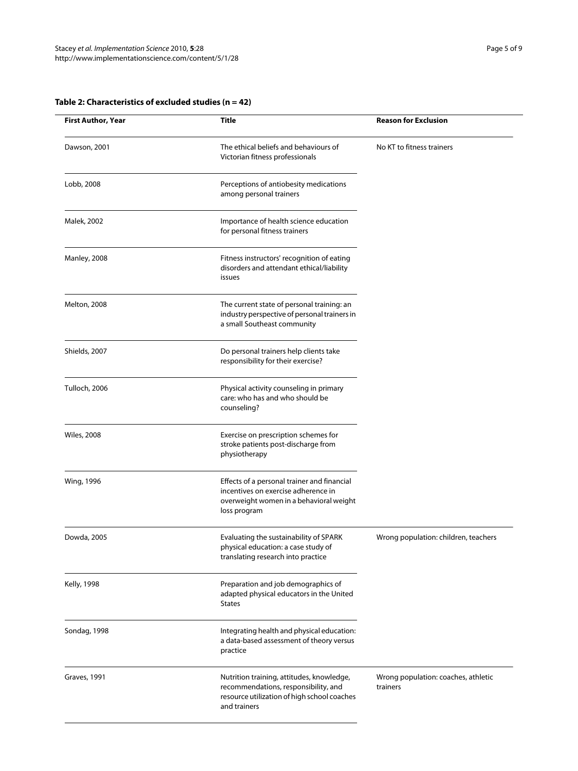| <b>First Author, Year</b> | <b>Title</b>                                                                                                                                     | <b>Reason for Exclusion</b>                     |
|---------------------------|--------------------------------------------------------------------------------------------------------------------------------------------------|-------------------------------------------------|
| Dawson, 2001              | The ethical beliefs and behaviours of<br>Victorian fitness professionals                                                                         | No KT to fitness trainers                       |
| Lobb, 2008                | Perceptions of antiobesity medications<br>among personal trainers                                                                                |                                                 |
| Malek, 2002               | Importance of health science education<br>for personal fitness trainers                                                                          |                                                 |
| Manley, 2008              | Fitness instructors' recognition of eating<br>disorders and attendant ethical/liability<br>issues                                                |                                                 |
| Melton, 2008              | The current state of personal training: an<br>industry perspective of personal trainers in<br>a small Southeast community                        |                                                 |
| Shields, 2007             | Do personal trainers help clients take<br>responsibility for their exercise?                                                                     |                                                 |
| Tulloch, 2006             | Physical activity counseling in primary<br>care: who has and who should be<br>counseling?                                                        |                                                 |
| <b>Wiles, 2008</b>        | Exercise on prescription schemes for<br>stroke patients post-discharge from<br>physiotherapy                                                     |                                                 |
| Wing, 1996                | Effects of a personal trainer and financial<br>incentives on exercise adherence in<br>overweight women in a behavioral weight<br>loss program    |                                                 |
| Dowda, 2005               | Evaluating the sustainability of SPARK<br>physical education: a case study of<br>translating research into practice                              | Wrong population: children, teachers            |
| <b>Kelly, 1998</b>        | Preparation and job demographics of<br>adapted physical educators in the United<br><b>States</b>                                                 |                                                 |
| Sondag, 1998              | Integrating health and physical education:<br>a data-based assessment of theory versus<br>practice                                               |                                                 |
| <b>Graves, 1991</b>       | Nutrition training, attitudes, knowledge,<br>recommendations, responsibility, and<br>resource utilization of high school coaches<br>and trainers | Wrong population: coaches, athletic<br>trainers |

## **Table 2: Characteristics of excluded studies (n = 42)**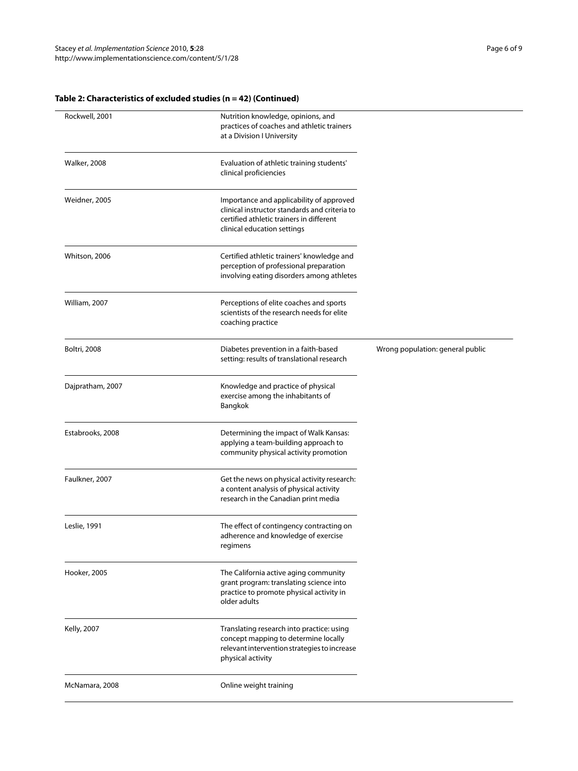## **Table 2: Characteristics of excluded studies (n = 42) (Continued)**

| Rockwell, 2001      | Nutrition knowledge, opinions, and<br>practices of coaches and athletic trainers<br>at a Division I University                                                       |                                  |
|---------------------|----------------------------------------------------------------------------------------------------------------------------------------------------------------------|----------------------------------|
| <b>Walker, 2008</b> | Evaluation of athletic training students'<br>clinical proficiencies                                                                                                  |                                  |
| Weidner, 2005       | Importance and applicability of approved<br>clinical instructor standards and criteria to<br>certified athletic trainers in different<br>clinical education settings |                                  |
| Whitson, 2006       | Certified athletic trainers' knowledge and<br>perception of professional preparation<br>involving eating disorders among athletes                                    |                                  |
| William, 2007       | Perceptions of elite coaches and sports<br>scientists of the research needs for elite<br>coaching practice                                                           |                                  |
| <b>Boltri, 2008</b> | Diabetes prevention in a faith-based<br>setting: results of translational research                                                                                   | Wrong population: general public |
| Dajpratham, 2007    | Knowledge and practice of physical<br>exercise among the inhabitants of<br>Bangkok                                                                                   |                                  |
| Estabrooks, 2008    | Determining the impact of Walk Kansas:<br>applying a team-building approach to<br>community physical activity promotion                                              |                                  |
| Faulkner, 2007      | Get the news on physical activity research:<br>a content analysis of physical activity<br>research in the Canadian print media                                       |                                  |
| Leslie, 1991        | The effect of contingency contracting on<br>adherence and knowledge of exercise<br>regimens                                                                          |                                  |
| Hooker, 2005        | The California active aging community<br>grant program: translating science into<br>practice to promote physical activity in<br>older adults                         |                                  |
| Kelly, 2007         | Translating research into practice: using<br>concept mapping to determine locally<br>relevant intervention strategies to increase<br>physical activity               |                                  |
| McNamara, 2008      | Online weight training                                                                                                                                               |                                  |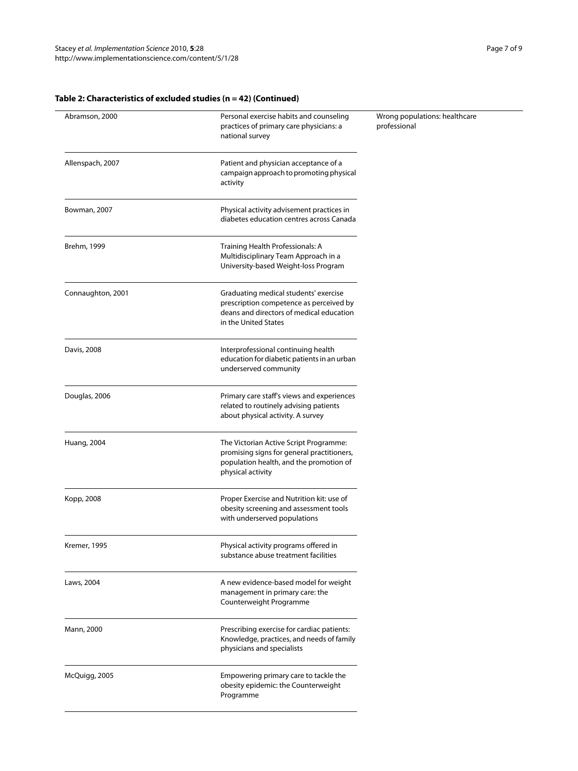$\sim$ 

## **Table 2: Characteristics of excluded studies (n = 42) (Continued)**

| Abramson, 2000     | Personal exercise habits and counseling<br>practices of primary care physicians: a<br>national survey                                                | Wrong populations: healthcare<br>professional |
|--------------------|------------------------------------------------------------------------------------------------------------------------------------------------------|-----------------------------------------------|
| Allenspach, 2007   | Patient and physician acceptance of a<br>campaign approach to promoting physical<br>activity                                                         |                                               |
| Bowman, 2007       | Physical activity advisement practices in<br>diabetes education centres across Canada                                                                |                                               |
| Brehm, 1999        | Training Health Professionals: A<br>Multidisciplinary Team Approach in a<br>University-based Weight-loss Program                                     |                                               |
| Connaughton, 2001  | Graduating medical students' exercise<br>prescription competence as perceived by<br>deans and directors of medical education<br>in the United States |                                               |
| Davis, 2008        | Interprofessional continuing health<br>education for diabetic patients in an urban<br>underserved community                                          |                                               |
| Douglas, 2006      | Primary care staff's views and experiences<br>related to routinely advising patients<br>about physical activity. A survey                            |                                               |
| <b>Huang, 2004</b> | The Victorian Active Script Programme:<br>promising signs for general practitioners,<br>population health, and the promotion of<br>physical activity |                                               |
| Kopp, 2008         | Proper Exercise and Nutrition kit: use of<br>obesity screening and assessment tools<br>with underserved populations                                  |                                               |
| Kremer, 1995       | Physical activity programs offered in<br>substance abuse treatment facilities                                                                        |                                               |
| Laws, 2004         | A new evidence-based model for weight<br>management in primary care: the<br>Counterweight Programme                                                  |                                               |
| Mann, 2000         | Prescribing exercise for cardiac patients:<br>Knowledge, practices, and needs of family<br>physicians and specialists                                |                                               |
| McQuigg, 2005      | Empowering primary care to tackle the<br>obesity epidemic: the Counterweight<br>Programme                                                            |                                               |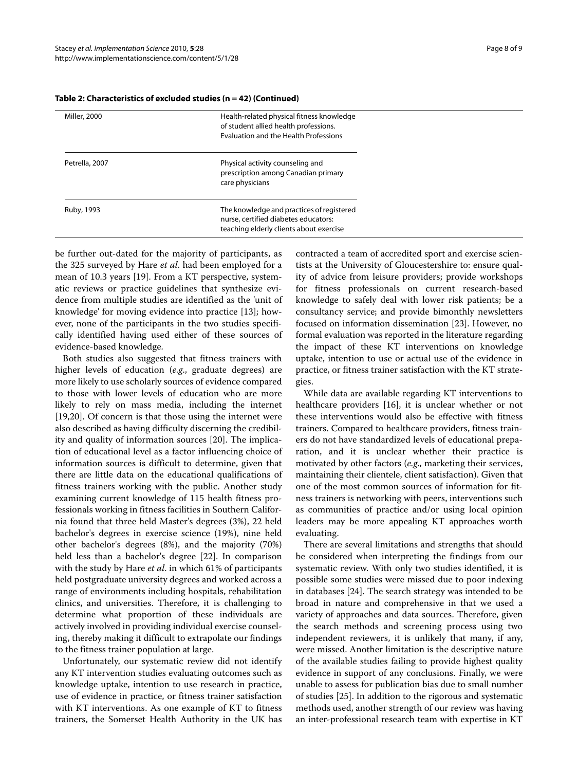| Miller, 2000   | Health-related physical fitness knowledge    |
|----------------|----------------------------------------------|
|                | of student allied health professions.        |
|                | <b>Evaluation and the Health Professions</b> |
| Petrella, 2007 | Physical activity counseling and             |
|                | prescription among Canadian primary          |
|                | care physicians                              |
| Ruby, 1993     | The knowledge and practices of registered    |
|                | nurse, certified diabetes educators:         |
|                | teaching elderly clients about exercise      |
|                |                                              |

#### **Table 2: Characteristics of excluded studies (n = 42) (Continued)**

be further out-dated for the majority of participants, as the 325 surveyed by Hare *et al*. had been employed for a mean of 10.3 years [\[19](#page-8-16)]. From a KT perspective, systematic reviews or practice guidelines that synthesize evidence from multiple studies are identified as the 'unit of knowledge' for moving evidence into practice [\[13\]](#page-8-10); however, none of the participants in the two studies specifically identified having used either of these sources of evidence-based knowledge.

Both studies also suggested that fitness trainers with higher levels of education (*e.g*., graduate degrees) are more likely to use scholarly sources of evidence compared to those with lower levels of education who are more likely to rely on mass media, including the internet [[19,](#page-8-16)[20\]](#page-8-17). Of concern is that those using the internet were also described as having difficulty discerning the credibility and quality of information sources [\[20\]](#page-8-17). The implication of educational level as a factor influencing choice of information sources is difficult to determine, given that there are little data on the educational qualifications of fitness trainers working with the public. Another study examining current knowledge of 115 health fitness professionals working in fitness facilities in Southern California found that three held Master's degrees (3%), 22 held bachelor's degrees in exercise science (19%), nine held other bachelor's degrees (8%), and the majority (70%) held less than a bachelor's degree [\[22](#page-8-19)]. In comparison with the study by Hare *et al*. in which 61% of participants held postgraduate university degrees and worked across a range of environments including hospitals, rehabilitation clinics, and universities. Therefore, it is challenging to determine what proportion of these individuals are actively involved in providing individual exercise counseling, thereby making it difficult to extrapolate our findings to the fitness trainer population at large.

Unfortunately, our systematic review did not identify any KT intervention studies evaluating outcomes such as knowledge uptake, intention to use research in practice, use of evidence in practice, or fitness trainer satisfaction with KT interventions. As one example of KT to fitness trainers, the Somerset Health Authority in the UK has

contracted a team of accredited sport and exercise scientists at the University of Gloucestershire to: ensure quality of advice from leisure providers; provide workshops for fitness professionals on current research-based knowledge to safely deal with lower risk patients; be a consultancy service; and provide bimonthly newsletters focused on information dissemination [\[23](#page-8-20)]. However, no formal evaluation was reported in the literature regarding the impact of these KT interventions on knowledge uptake, intention to use or actual use of the evidence in practice, or fitness trainer satisfaction with the KT strategies.

While data are available regarding KT interventions to healthcare providers [[16\]](#page-8-13), it is unclear whether or not these interventions would also be effective with fitness trainers. Compared to healthcare providers, fitness trainers do not have standardized levels of educational preparation, and it is unclear whether their practice is motivated by other factors (*e.g*., marketing their services, maintaining their clientele, client satisfaction). Given that one of the most common sources of information for fitness trainers is networking with peers, interventions such as communities of practice and/or using local opinion leaders may be more appealing KT approaches worth evaluating.

There are several limitations and strengths that should be considered when interpreting the findings from our systematic review. With only two studies identified, it is possible some studies were missed due to poor indexing in databases [[24](#page-8-21)]. The search strategy was intended to be broad in nature and comprehensive in that we used a variety of approaches and data sources. Therefore, given the search methods and screening process using two independent reviewers, it is unlikely that many, if any, were missed. Another limitation is the descriptive nature of the available studies failing to provide highest quality evidence in support of any conclusions. Finally, we were unable to assess for publication bias due to small number of studies [[25](#page-8-22)]. In addition to the rigorous and systematic methods used, another strength of our review was having an inter-professional research team with expertise in KT